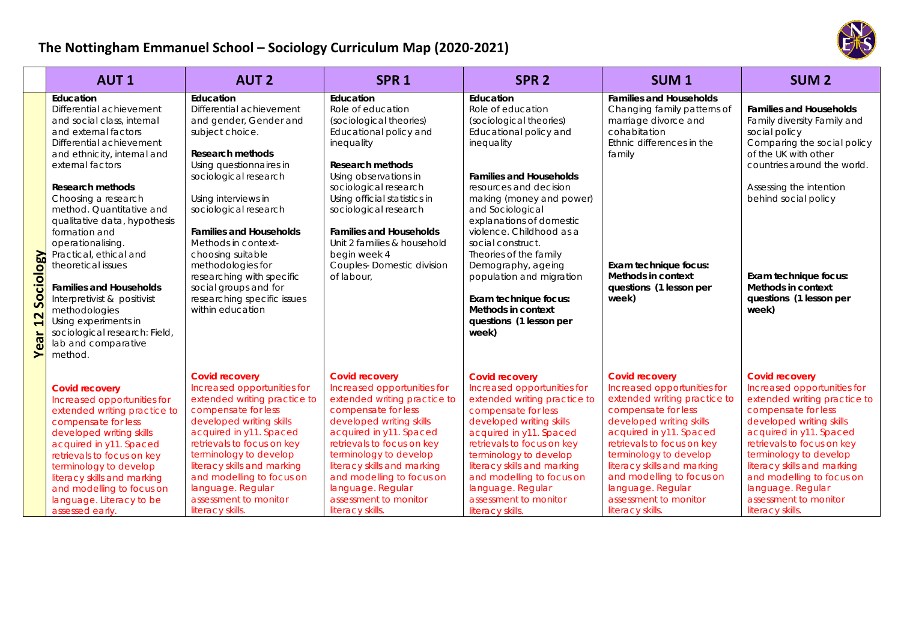

## **The Nottingham Emmanuel School – Sociology Curriculum Map (2020‐2021)**

|                                             | <b>AUT1</b>                                                                                                                                                                                                                                                                                                                                                                                                                                                                                                                                                 | <b>AUT 2</b>                                                                                                                                                                                                                                                                                                                                                                                                                  | SPR <sub>1</sub>                                                                                                                                                                                                                                                                                                                                             | SPR <sub>2</sub>                                                                                                                                                                                                                                                                                                                                                                                                                                          | <b>SUM1</b>                                                                                                                                                                                                                                                                                                                                              | <b>SUM2</b>                                                                                                                                                                                                                                                                                                                                              |
|---------------------------------------------|-------------------------------------------------------------------------------------------------------------------------------------------------------------------------------------------------------------------------------------------------------------------------------------------------------------------------------------------------------------------------------------------------------------------------------------------------------------------------------------------------------------------------------------------------------------|-------------------------------------------------------------------------------------------------------------------------------------------------------------------------------------------------------------------------------------------------------------------------------------------------------------------------------------------------------------------------------------------------------------------------------|--------------------------------------------------------------------------------------------------------------------------------------------------------------------------------------------------------------------------------------------------------------------------------------------------------------------------------------------------------------|-----------------------------------------------------------------------------------------------------------------------------------------------------------------------------------------------------------------------------------------------------------------------------------------------------------------------------------------------------------------------------------------------------------------------------------------------------------|----------------------------------------------------------------------------------------------------------------------------------------------------------------------------------------------------------------------------------------------------------------------------------------------------------------------------------------------------------|----------------------------------------------------------------------------------------------------------------------------------------------------------------------------------------------------------------------------------------------------------------------------------------------------------------------------------------------------------|
| <b>Ogy</b><br>Sociol<br>$\mathbf{z}$<br>ear | Education<br>Differential achievement<br>and social class, internal<br>and external factors<br>Differential achievement<br>and ethnicity, internal and<br>external factors<br><b>Research methods</b><br>Choosing a research<br>method. Quantitative and<br>qualitative data, hypothesis<br>formation and<br>operationalising.<br>Practical, ethical and<br>theoretical issues<br><b>Families and Households</b><br>Interpretivist & positivist<br>methodologies<br>Using experiments in<br>sociological research: Field,<br>lab and comparative<br>method. | Education<br>Differential achievement<br>and gender, Gender and<br>subject choice.<br><b>Research methods</b><br>Using questionnaires in<br>sociological research<br>Using interviews in<br>sociological research<br><b>Families and Households</b><br>Methods in context-<br>choosing suitable<br>methodologies for<br>researching with specific<br>social groups and for<br>researching specific issues<br>within education | Education<br>Role of education<br>(sociological theories)<br>Educational policy and<br>inequality<br>Research methods<br>Using observations in<br>sociological research<br>Using official statistics in<br>sociological research<br><b>Families and Households</b><br>Unit 2 families & household<br>begin week 4<br>Couples-Domestic division<br>of labour, | Education<br>Role of education<br>(sociological theories)<br>Educational policy and<br>inequality<br><b>Families and Households</b><br>resources and decision<br>making (money and power)<br>and Sociological<br>explanations of domestic<br>violence. Childhood as a<br>social construct.<br>Theories of the family<br>Demography, ageing<br>population and migration<br>Exam technique focus:<br>Methods in context<br>questions (1 lesson per<br>week) | <b>Families and Households</b><br>Changing family patterns of<br>marriage divorce and<br>cohabitation<br>Ethnic differences in the<br>family<br>Exam technique focus:<br>Methods in context<br>questions (1 lesson per<br>week)                                                                                                                          | <b>Families and Households</b><br>Family diversity Family and<br>social policy<br>Comparing the social policy<br>of the UK with other<br>countries around the world.<br>Assessing the intention<br>behind social policy<br>Exam technique focus:<br>Methods in context<br>questions (1 lesson per<br>week)                                               |
|                                             | <b>Covid recovery</b><br>Increased opportunities for<br>extended writing practice to<br>compensate for less<br>developed writing skills<br>acquired in y11. Spaced<br>retrievals to focus on key<br>terminology to develop<br>literacy skills and marking<br>and modelling to focus on<br>language. Literacy to be<br>assessed early.                                                                                                                                                                                                                       | <b>Covid recovery</b><br>Increased opportunities for<br>extended writing practice to<br>compensate for less<br>developed writing skills<br>acquired in y11. Spaced<br>retrievals to focus on key<br>terminology to develop<br>literacy skills and marking<br>and modelling to focus on<br>language. Regular<br>assessment to monitor<br>literacy skills.                                                                      | <b>Covid recovery</b><br>Increased opportunities for<br>extended writing practice to<br>compensate for less<br>developed writing skills<br>acquired in y11. Spaced<br>retrievals to focus on key<br>terminology to develop<br>literacy skills and marking<br>and modelling to focus on<br>language. Regular<br>assessment to monitor<br>literacy skills.     | <b>Covid recovery</b><br>Increased opportunities for<br>extended writing practice to<br>compensate for less<br>developed writing skills<br>acquired in y11. Spaced<br>retrievals to focus on key<br>terminology to develop<br>literacy skills and marking<br>and modelling to focus on<br>language. Regular<br>assessment to monitor<br>literacy skills.                                                                                                  | <b>Covid recovery</b><br>Increased opportunities for<br>extended writing practice to<br>compensate for less<br>developed writing skills<br>acquired in y11. Spaced<br>retrievals to focus on key<br>terminology to develop<br>literacy skills and marking<br>and modelling to focus on<br>language. Regular<br>assessment to monitor<br>literacy skills. | <b>Covid recovery</b><br>Increased opportunities for<br>extended writing practice to<br>compensate for less<br>developed writing skills<br>acquired in y11. Spaced<br>retrievals to focus on key<br>terminology to develop<br>literacy skills and marking<br>and modelling to focus on<br>language. Regular<br>assessment to monitor<br>literacy skills. |